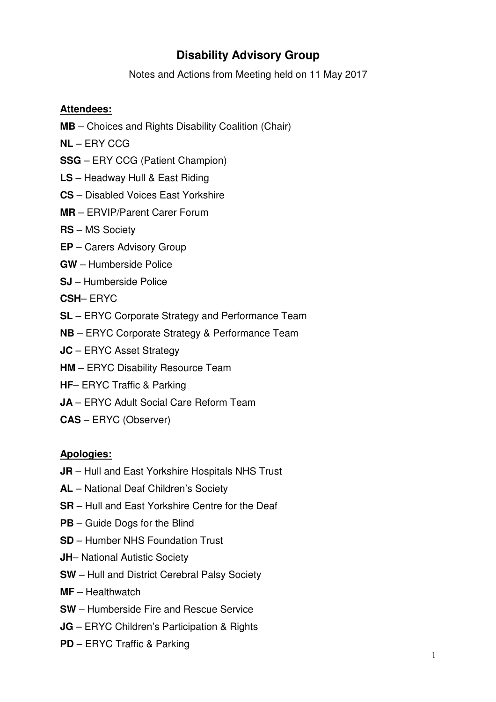# **Disability Advisory Group**

Notes and Actions from Meeting held on 11 May 2017

## **Attendees:**

- **MB** Choices and Rights Disability Coalition (Chair)
- **NL** ERY CCG
- **SSG** ERY CCG (Patient Champion)
- **LS** Headway Hull & East Riding
- **CS** Disabled Voices East Yorkshire
- **MR** ERVIP/Parent Carer Forum
- **RS** MS Society
- **EP** Carers Advisory Group
- **GW** Humberside Police
- **SJ** Humberside Police
- **CSH** ERYC
- **SL** ERYC Corporate Strategy and Performance Team
- **NB** ERYC Corporate Strategy & Performance Team
- **JC** ERYC Asset Strategy
- **HM** ERYC Disability Resource Team
- **HF** ERYC Traffic & Parking
- **JA** ERYC Adult Social Care Reform Team
- **CAS** ERYC (Observer)

#### **Apologies:**

- **JR** Hull and East Yorkshire Hospitals NHS Trust
- **AL** National Deaf Children's Society
- **SR** Hull and East Yorkshire Centre for the Deaf
- **PB**  Guide Dogs for the Blind
- **SD**  Humber NHS Foundation Trust
- **JH** National Autistic Society
- **SW**  Hull and District Cerebral Palsy Society
- **MF**  Healthwatch
- **SW**  Humberside Fire and Rescue Service
- **JG**  ERYC Children's Participation & Rights
- **PD**  ERYC Traffic & Parking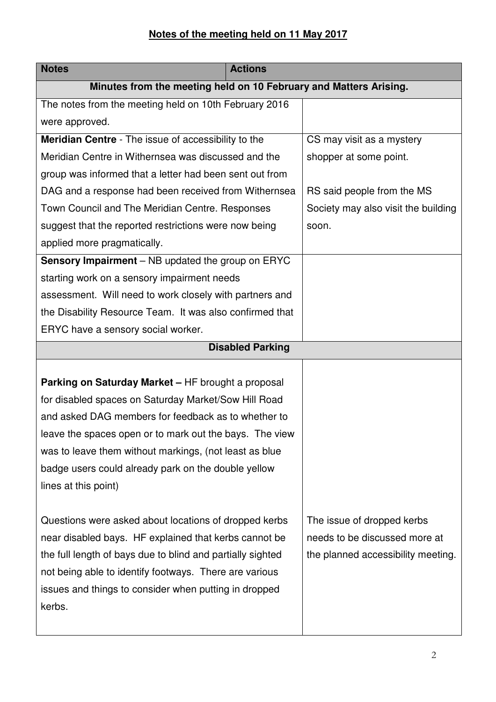# **Notes of the meeting held on 11 May 2017**

| <b>Notes</b>                                                                                                                                                                                                                                                                                                                                                          | <b>Actions</b> |                                                                                                   |  |  |
|-----------------------------------------------------------------------------------------------------------------------------------------------------------------------------------------------------------------------------------------------------------------------------------------------------------------------------------------------------------------------|----------------|---------------------------------------------------------------------------------------------------|--|--|
| Minutes from the meeting held on 10 February and Matters Arising.                                                                                                                                                                                                                                                                                                     |                |                                                                                                   |  |  |
| The notes from the meeting held on 10th February 2016                                                                                                                                                                                                                                                                                                                 |                |                                                                                                   |  |  |
| were approved.                                                                                                                                                                                                                                                                                                                                                        |                |                                                                                                   |  |  |
| <b>Meridian Centre</b> - The issue of accessibility to the                                                                                                                                                                                                                                                                                                            |                | CS may visit as a mystery                                                                         |  |  |
| Meridian Centre in Withernsea was discussed and the                                                                                                                                                                                                                                                                                                                   |                | shopper at some point.                                                                            |  |  |
| group was informed that a letter had been sent out from                                                                                                                                                                                                                                                                                                               |                |                                                                                                   |  |  |
| DAG and a response had been received from Withernsea                                                                                                                                                                                                                                                                                                                  |                | RS said people from the MS                                                                        |  |  |
| Town Council and The Meridian Centre. Responses                                                                                                                                                                                                                                                                                                                       |                | Society may also visit the building                                                               |  |  |
| suggest that the reported restrictions were now being                                                                                                                                                                                                                                                                                                                 |                | soon.                                                                                             |  |  |
| applied more pragmatically.                                                                                                                                                                                                                                                                                                                                           |                |                                                                                                   |  |  |
| Sensory Impairment - NB updated the group on ERYC                                                                                                                                                                                                                                                                                                                     |                |                                                                                                   |  |  |
| starting work on a sensory impairment needs                                                                                                                                                                                                                                                                                                                           |                |                                                                                                   |  |  |
| assessment. Will need to work closely with partners and                                                                                                                                                                                                                                                                                                               |                |                                                                                                   |  |  |
| the Disability Resource Team. It was also confirmed that                                                                                                                                                                                                                                                                                                              |                |                                                                                                   |  |  |
| ERYC have a sensory social worker.                                                                                                                                                                                                                                                                                                                                    |                |                                                                                                   |  |  |
| <b>Disabled Parking</b>                                                                                                                                                                                                                                                                                                                                               |                |                                                                                                   |  |  |
| Parking on Saturday Market - HF brought a proposal<br>for disabled spaces on Saturday Market/Sow Hill Road<br>and asked DAG members for feedback as to whether to<br>leave the spaces open or to mark out the bays. The view<br>was to leave them without markings, (not least as blue<br>badge users could already park on the double yellow<br>lines at this point) |                |                                                                                                   |  |  |
| Questions were asked about locations of dropped kerbs<br>near disabled bays. HF explained that kerbs cannot be<br>the full length of bays due to blind and partially sighted<br>not being able to identify footways. There are various<br>issues and things to consider when putting in dropped<br>kerbs.                                                             |                | The issue of dropped kerbs<br>needs to be discussed more at<br>the planned accessibility meeting. |  |  |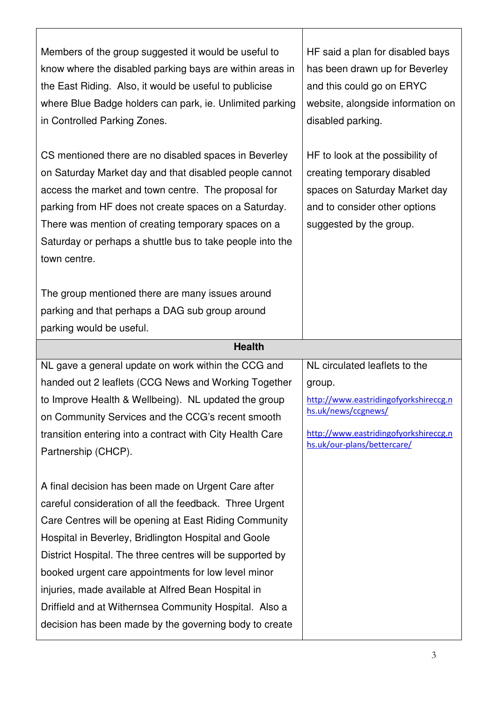| Members of the group suggested it would be useful to<br>know where the disabled parking bays are within areas in<br>the East Riding. Also, it would be useful to publicise<br>where Blue Badge holders can park, ie. Unlimited parking<br>in Controlled Parking Zones.                                                                                              | HF said a plan for disabled bays<br>has been drawn up for Beverley<br>and this could go on ERYC<br>website, alongside information on<br>disabled parking.    |  |  |
|---------------------------------------------------------------------------------------------------------------------------------------------------------------------------------------------------------------------------------------------------------------------------------------------------------------------------------------------------------------------|--------------------------------------------------------------------------------------------------------------------------------------------------------------|--|--|
| CS mentioned there are no disabled spaces in Beverley<br>on Saturday Market day and that disabled people cannot<br>access the market and town centre. The proposal for<br>parking from HF does not create spaces on a Saturday.<br>There was mention of creating temporary spaces on a<br>Saturday or perhaps a shuttle bus to take people into the<br>town centre. | HF to look at the possibility of<br>creating temporary disabled<br>spaces on Saturday Market day<br>and to consider other options<br>suggested by the group. |  |  |
| The group mentioned there are many issues around<br>parking and that perhaps a DAG sub group around<br>parking would be useful.                                                                                                                                                                                                                                     |                                                                                                                                                              |  |  |
| <b>Health</b>                                                                                                                                                                                                                                                                                                                                                       |                                                                                                                                                              |  |  |
|                                                                                                                                                                                                                                                                                                                                                                     |                                                                                                                                                              |  |  |
| NL gave a general update on work within the CCG and                                                                                                                                                                                                                                                                                                                 | NL circulated leaflets to the                                                                                                                                |  |  |
| handed out 2 leaflets (CCG News and Working Together                                                                                                                                                                                                                                                                                                                | group.                                                                                                                                                       |  |  |
| to Improve Health & Wellbeing). NL updated the group                                                                                                                                                                                                                                                                                                                | http://www.eastridingofyorkshireccg.n                                                                                                                        |  |  |
| on Community Services and the CCG's recent smooth                                                                                                                                                                                                                                                                                                                   | hs.uk/news/ccgnews/                                                                                                                                          |  |  |
| transition entering into a contract with City Health Care<br>Partnership (CHCP).                                                                                                                                                                                                                                                                                    | http://www.eastridingofyorkshireccg.n<br>hs.uk/our-plans/bettercare/                                                                                         |  |  |

٦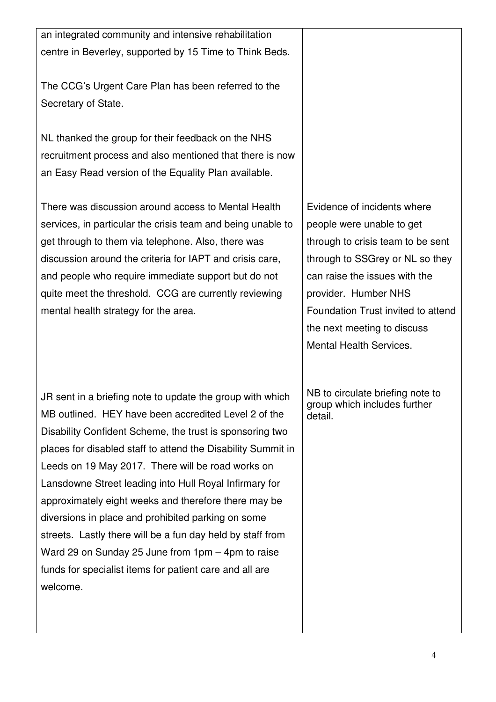an integrated community and intensive rehabilitation centre in Beverley, supported by 15 Time to Think Beds.

The CCG's Urgent Care Plan has been referred to the Secretary of State.

NL thanked the group for their feedback on the NHS recruitment process and also mentioned that there is now an Easy Read version of the Equality Plan available.

There was discussion around access to Mental Health services, in particular the crisis team and being unable to get through to them via telephone. Also, there was discussion around the criteria for IAPT and crisis care, and people who require immediate support but do not quite meet the threshold. CCG are currently reviewing mental health strategy for the area.

JR sent in a briefing note to update the group with which MB outlined. HEY have been accredited Level 2 of the Disability Confident Scheme, the trust is sponsoring two places for disabled staff to attend the Disability Summit in Leeds on 19 May 2017. There will be road works on Lansdowne Street leading into Hull Royal Infirmary for approximately eight weeks and therefore there may be diversions in place and prohibited parking on some streets. Lastly there will be a fun day held by staff from Ward 29 on Sunday 25 June from 1pm – 4pm to raise funds for specialist items for patient care and all are welcome.

Evidence of incidents where people were unable to get through to crisis team to be sent through to SSGrey or NL so they can raise the issues with the provider. Humber NHS Foundation Trust invited to attend the next meeting to discuss Mental Health Services.

NB to circulate briefing note to group which includes further detail.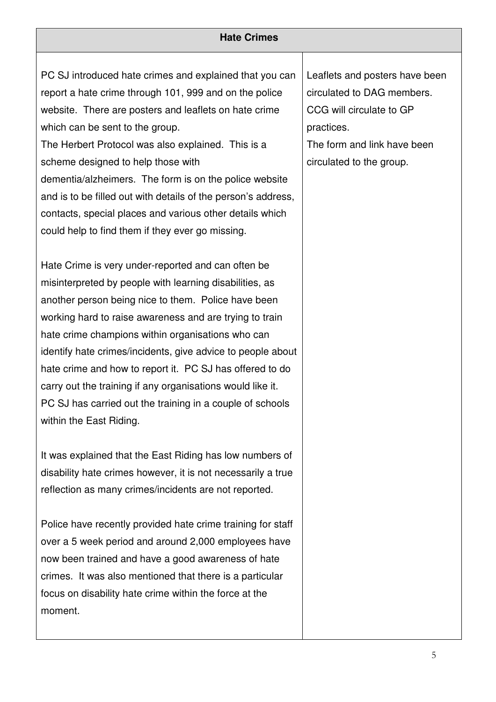#### **Hate Crimes**

PC SJ introduced hate crimes and explained that you can report a hate crime through 101, 999 and on the police website. There are posters and leaflets on hate crime which can be sent to the group.

The Herbert Protocol was also explained. This is a scheme designed to help those with dementia/alzheimers. The form is on the police website and is to be filled out with details of the person's address, contacts, special places and various other details which could help to find them if they ever go missing.

Hate Crime is very under-reported and can often be misinterpreted by people with learning disabilities, as another person being nice to them. Police have been working hard to raise awareness and are trying to train hate crime champions within organisations who can identify hate crimes/incidents, give advice to people about hate crime and how to report it. PC SJ has offered to do carry out the training if any organisations would like it. PC SJ has carried out the training in a couple of schools within the East Riding.

It was explained that the East Riding has low numbers of disability hate crimes however, it is not necessarily a true reflection as many crimes/incidents are not reported.

Police have recently provided hate crime training for staff over a 5 week period and around 2,000 employees have now been trained and have a good awareness of hate crimes. It was also mentioned that there is a particular focus on disability hate crime within the force at the moment.

Leaflets and posters have been circulated to DAG members. CCG will circulate to GP practices. The form and link have been

circulated to the group.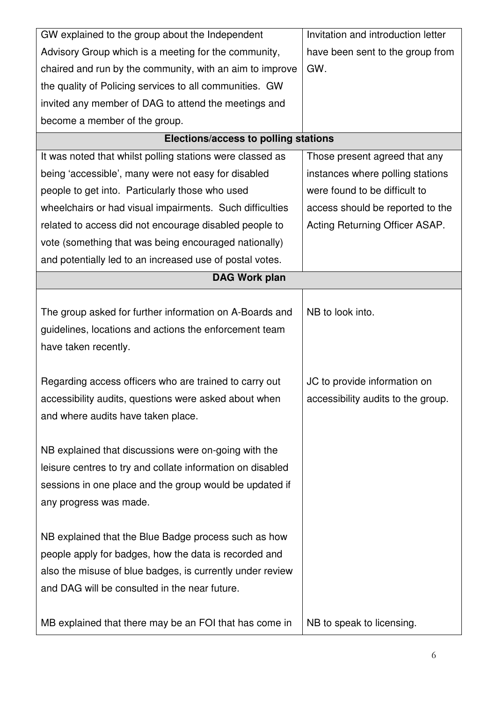| GW explained to the group about the Independent            | Invitation and introduction letter |  |  |
|------------------------------------------------------------|------------------------------------|--|--|
| Advisory Group which is a meeting for the community,       | have been sent to the group from   |  |  |
| chaired and run by the community, with an aim to improve   | GW.                                |  |  |
| the quality of Policing services to all communities. GW    |                                    |  |  |
| invited any member of DAG to attend the meetings and       |                                    |  |  |
| become a member of the group.                              |                                    |  |  |
| Elections/access to polling stations                       |                                    |  |  |
| It was noted that whilst polling stations were classed as  | Those present agreed that any      |  |  |
| being 'accessible', many were not easy for disabled        | instances where polling stations   |  |  |
| people to get into. Particularly those who used            | were found to be difficult to      |  |  |
| wheelchairs or had visual impairments. Such difficulties   | access should be reported to the   |  |  |
| related to access did not encourage disabled people to     | Acting Returning Officer ASAP.     |  |  |
| vote (something that was being encouraged nationally)      |                                    |  |  |
| and potentially led to an increased use of postal votes.   |                                    |  |  |
| <b>DAG Work plan</b>                                       |                                    |  |  |
|                                                            |                                    |  |  |
| The group asked for further information on A-Boards and    | NB to look into.                   |  |  |
| guidelines, locations and actions the enforcement team     |                                    |  |  |
| have taken recently.                                       |                                    |  |  |
|                                                            |                                    |  |  |
| Regarding access officers who are trained to carry out     | JC to provide information on       |  |  |
| accessibility audits, questions were asked about when      | accessibility audits to the group. |  |  |
| and where audits have taken place.                         |                                    |  |  |
|                                                            |                                    |  |  |
| NB explained that discussions were on-going with the       |                                    |  |  |
| leisure centres to try and collate information on disabled |                                    |  |  |
| sessions in one place and the group would be updated if    |                                    |  |  |
| any progress was made.                                     |                                    |  |  |
|                                                            |                                    |  |  |
| NB explained that the Blue Badge process such as how       |                                    |  |  |
| people apply for badges, how the data is recorded and      |                                    |  |  |
| also the misuse of blue badges, is currently under review  |                                    |  |  |
| and DAG will be consulted in the near future.              |                                    |  |  |
|                                                            |                                    |  |  |
| MB explained that there may be an FOI that has come in     | NB to speak to licensing.          |  |  |